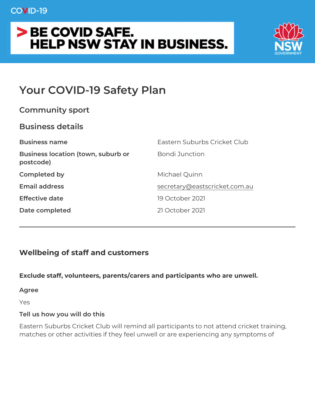# Your COVID-19 Safety Plan

| Community sport                                            |                               |
|------------------------------------------------------------|-------------------------------|
| Business details                                           |                               |
| Business name                                              | Eastern Suburbs Cricket Club  |
| Business location (town, suburbBondi Junction<br>postcode) |                               |
| Completed by                                               | Michael Quinn                 |
| Email address                                              | secretary@eastscricket.com.au |
| Effective date                                             | 19 October 2021               |
| Date completed                                             | 21 October 2021               |

Wellbeing of staff and customers

Exclude staff, volunteers, parents/carers and participants who are

Agree

Yes

Tell us how you will do this

Eastern Suburbs Cricket Club will remind all participants to not att matches or other activities if they feel unwell or are experiencing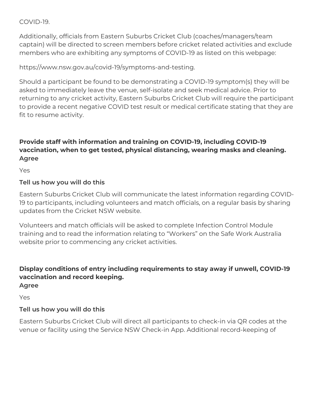COVID-19.

Additionally, officials from Eastern Suburbs Cricket Club (coaches/managers/team captain) will be directed to screen members before cricket related activities and exclude members who are exhibiting any symptoms of COVID-19 as listed on this webpage:

https://www.nsw.gov.au/covid-19/symptoms-and-testing.

Should a participant be found to be demonstrating a COVID-19 symptom(s) they will be asked to immediately leave the venue, self-isolate and seek medical advice. Prior to returning to any cricket activity, Eastern Suburbs Cricket Club will require the participant to provide a recent negative COVID test result or medical certificate stating that they are fit to resume activity.

# **Provide staff with information and training on COVID-19, including COVID-19 vaccination, when to get tested, physical distancing, wearing masks and cleaning. Agree**

Yes

### **Tell us how you will do this**

Eastern Suburbs Cricket Club will communicate the latest information regarding COVID-19 to participants, including volunteers and match officials, on a regular basis by sharing updates from the Cricket NSW website.

Volunteers and match officials will be asked to complete Infection Control Module training and to read the information relating to "Workers" on the Safe Work Australia website prior to commencing any cricket activities.

# **Display conditions of entry including requirements to stay away if unwell, COVID-19 vaccination and record keeping.**

**Agree**

Yes

### **Tell us how you will do this**

Eastern Suburbs Cricket Club will direct all participants to check-in via QR codes at the venue or facility using the Service NSW Check-in App. Additional record-keeping of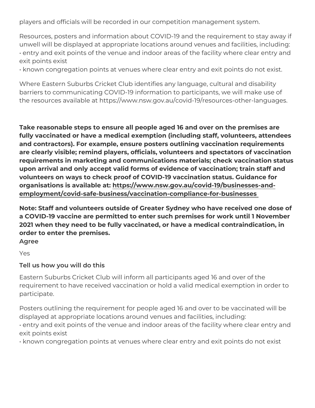players and officials will be recorded in our competition manageme

Resources, posters and information about COVID-19 and the requir unwell will be displayed at appropriate locations around venues an " entry and exit points of the venue and indoor areas of the facility exit points exist

" known congregation points at venues where clear entry and exit p

Where Eastern Suburbs Cricket Club identifies any language, cultural and disability and disability and disabili barriers to communicating COVID-19 information to participants, we the resources available at https://www.nsw.gov.au/covid-19/resoure

Take reasonable steps to ensure all people aged 16 and over on th fully vaccinated or have a medical exemption (including staff, volu and contractors). For example, ensure posters outlining vaccinatio are clearly visible; remind players, officials, volunteers and specta requirements in marketing and communications materials; check va upon arrival and only accept valid forms of evidence of vaccinatior volunteers on ways to check proof of COVID-19 vaccination status. organisations is availattibes: dtwww.nsw.gov.au/covid-19/businesses-a [employment/covid-safe-business/vaccination-complianc](https://www.nsw.gov.au/covid-19/businesses-and-employment/covid-safe-business/vaccination-compliance-for-businesses)e-for-busine

Note: Staff and volunteers outside of Greater Sydney who have rec a COVID-19 vaccine are permitted to enter such premises for work 2021 when they need to be fully vaccinated, or have a medical con order to enter the premises. Agree

Yes

Tell us how you will do this

Eastern Suburbs Cricket Club will inform all participants aged 16 and  $\sigma$ requirement to have received vaccination or hold a valid medical e participate.

Posters outlining the requirement for people aged 16 and over to b displayed at appropriate locations around venues and facilities, in " entry and exit points of the venue and indoor areas of the facility exit points exist

" known congregation points at venues where clear entry and exit p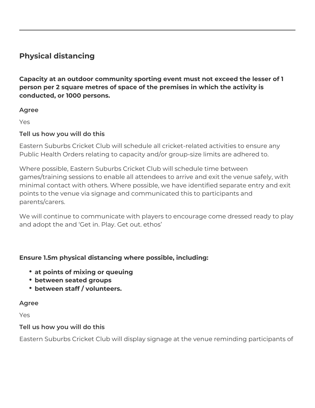# **Physical distancing**

**Capacity at an outdoor community sporting event must not exceed the lesser of 1 person per 2 square metres of space of the premises in which the activity is conducted, or 1000 persons.**

### **Agree**

Yes

### **Tell us how you will do this**

Eastern Suburbs Cricket Club will schedule all cricket-related activities to ensure any Public Health Orders relating to capacity and/or group-size limits are adhered to.

Where possible, Eastern Suburbs Cricket Club will schedule time between games/training sessions to enable all attendees to arrive and exit the venue safely, with minimal contact with others. Where possible, we have identified separate entry and exit points to the venue via signage and communicated this to participants and parents/carers.

We will continue to communicate with players to encourage come dressed ready to play and adopt the and 'Get in. Play. Get out. ethos'

### **Ensure 1.5m physical distancing where possible, including:**

- **at points of mixing or queuing**
- **between seated groups**
- **between staff / volunteers.**

### **Agree**

Yes

### **Tell us how you will do this**

Eastern Suburbs Cricket Club will display signage at the venue reminding participants of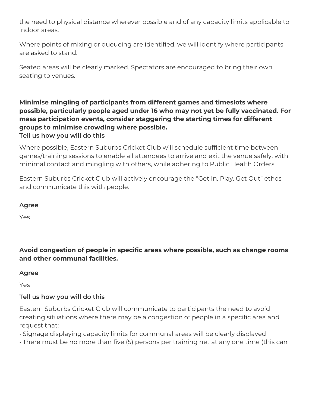the need to physical distance wherever possible and of any capacity limits applicable to indoor areas.

Where points of mixing or queueing are identified, we will identify where participants are asked to stand.

Seated areas will be clearly marked. Spectators are encouraged to bring their own seating to venues.

**Minimise mingling of participants from different games and timeslots where possible, particularly people aged under 16 who may not yet be fully vaccinated. For mass participation events, consider staggering the starting times for different groups to minimise crowding where possible. Tell us how you will do this**

Where possible, Eastern Suburbs Cricket Club will schedule sufficient time between games/training sessions to enable all attendees to arrive and exit the venue safely, with minimal contact and mingling with others, while adhering to Public Health Orders.

Eastern Suburbs Cricket Club will actively encourage the "Get In. Play. Get Out" ethos and communicate this with people.

### **Agree**

Yes

**Avoid congestion of people in specific areas where possible, such as change rooms and other communal facilities.**

### **Agree**

Yes

### **Tell us how you will do this**

Eastern Suburbs Cricket Club will communicate to participants the need to avoid creating situations where there may be a congestion of people in a specific area and request that:

• Signage displaying capacity limits for communal areas will be clearly displayed

• There must be no more than five (5) persons per training net at any one time (this can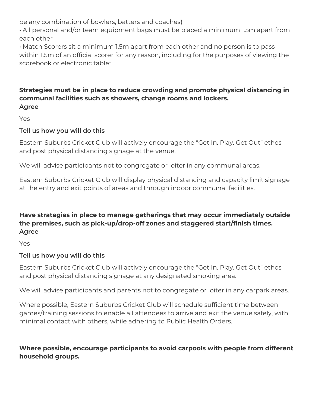be any combination of bowlers, batters and coaches)

• All personal and/or team equipment bags must be placed a minimum 1.5m apart from each other

• Match Scorers sit a minimum 1.5m apart from each other and no person is to pass within 1.5m of an official scorer for any reason, including for the purposes of viewing the scorebook or electronic tablet

#### **Strategies must be in place to reduce crowding and promote physical distancing in communal facilities such as showers, change rooms and lockers. Agree**

Yes

### **Tell us how you will do this**

Eastern Suburbs Cricket Club will actively encourage the "Get In. Play. Get Out" ethos and post physical distancing signage at the venue.

We will advise participants not to congregate or loiter in any communal areas.

Eastern Suburbs Cricket Club will display physical distancing and capacity limit signage at the entry and exit points of areas and through indoor communal facilities.

### **Have strategies in place to manage gatherings that may occur immediately outside the premises, such as pick-up/drop-off zones and staggered start/finish times. Agree**

Yes

### **Tell us how you will do this**

Eastern Suburbs Cricket Club will actively encourage the "Get In. Play. Get Out" ethos and post physical distancing signage at any designated smoking area.

We will advise participants and parents not to congregate or loiter in any carpark areas.

Where possible, Eastern Suburbs Cricket Club will schedule sufficient time between games/training sessions to enable all attendees to arrive and exit the venue safely, with minimal contact with others, while adhering to Public Health Orders.

### **Where possible, encourage participants to avoid carpools with people from different household groups.**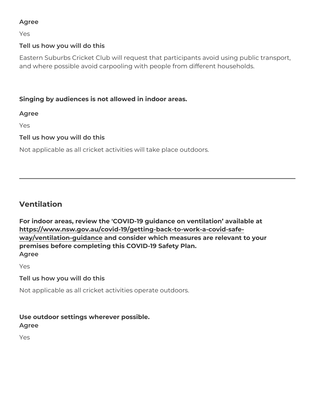Agree Yes Tell us how you will do this Eastern Suburbs Cricket Club will request that participants avoid u and where possible avoid carpooling with people from different hou Singing by audiences is not allowed in indoor areas. Agree Yes Tell us how you will do this

Not applicable as all cricket activities will take place outdoors.

Ventilation

For indoor areas, review the 'COVID-19 quidance on ventilation available at [https://www.nsw.gov.au/covid-19/getting-back-to-wo](https://www.nsw.gov.au/covid-19/getting-back-to-work-a-covid-safe-way/ventilation-guidance)rk-a-covid-safe [way/ventilation-gui](https://www.nsw.gov.au/covid-19/getting-back-to-work-a-covid-safe-way/ventilation-guidance)dannde consider which measures are relevant to your premises before completing this COVID-19 Safety Plan. Agree

Yes

Tell us how you will do this

Not applicable as all cricket activities operate outdoors.

Use outdoor settings wherever possible.

Yes

Agree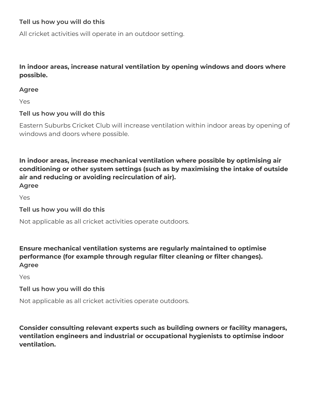### **Tell us how you will do this**

All cricket activities will operate in an outdoor setting.

### **In indoor areas, increase natural ventilation by opening windows and doors where possible.**

#### **Agree**

Yes

### **Tell us how you will do this**

Eastern Suburbs Cricket Club will increase ventilation within indoor areas by opening of windows and doors where possible.

**In indoor areas, increase mechanical ventilation where possible by optimising air conditioning or other system settings (such as by maximising the intake of outside air and reducing or avoiding recirculation of air). Agree**

Yes

**Tell us how you will do this**

Not applicable as all cricket activities operate outdoors.

**Ensure mechanical ventilation systems are regularly maintained to optimise performance (for example through regular filter cleaning or filter changes). Agree**

Yes

### **Tell us how you will do this**

Not applicable as all cricket activities operate outdoors.

**Consider consulting relevant experts such as building owners or facility managers, ventilation engineers and industrial or occupational hygienists to optimise indoor ventilation.**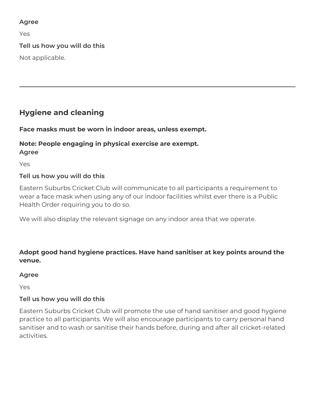### **Agree**

Yes

# **Tell us how you will do this**

Not applicable.

# **Hygiene and cleaning**

# **Face masks must be worn in indoor areas, unless exempt.**

#### **Note: People engaging in physical exercise are exempt. Agree**

Yes

# **Tell us how you will do this**

Eastern Suburbs Cricket Club will communicate to all participants a requirement to wear a face mask when using any of our indoor facilities whilst ever there is a Public Health Order requiring you to do so.

We will also display the relevant signage on any indoor area that we operate.

# **Adopt good hand hygiene practices. Have hand sanitiser at key points around the venue.**

### **Agree**

Yes

# **Tell us how you will do this**

Eastern Suburbs Cricket Club will promote the use of hand sanitiser and good hygiene practice to all participants. We will also encourage participants to carry personal hand sanitiser and to wash or sanitise their hands before, during and after all cricket-related activities.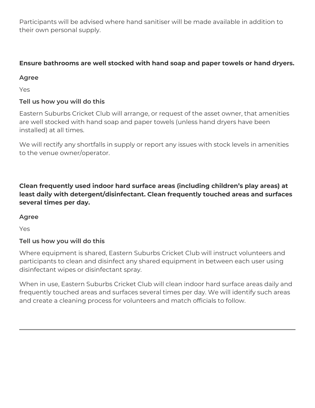Participants will be advised where hand sanitiser will be made available in addition to their own personal supply.

# **Ensure bathrooms are well stocked with hand soap and paper towels or hand dryers.**

### **Agree**

Yes

# **Tell us how you will do this**

Eastern Suburbs Cricket Club will arrange, or request of the asset owner, that amenities are well stocked with hand soap and paper towels (unless hand dryers have been installed) at all times.

We will rectify any shortfalls in supply or report any issues with stock levels in amenities to the venue owner/operator.

**Clean frequently used indoor hard surface areas (including children's play areas) at least daily with detergent/disinfectant. Clean frequently touched areas and surfaces several times per day.**

### **Agree**

Yes

# **Tell us how you will do this**

Where equipment is shared, Eastern Suburbs Cricket Club will instruct volunteers and participants to clean and disinfect any shared equipment in between each user using disinfectant wipes or disinfectant spray.

When in use, Eastern Suburbs Cricket Club will clean indoor hard surface areas daily and frequently touched areas and surfaces several times per day. We will identify such areas and create a cleaning process for volunteers and match officials to follow.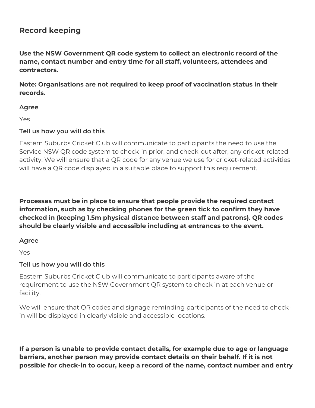# **Record keeping**

**Use the NSW Government QR code system to collect an electronic record of the name, contact number and entry time for all staff, volunteers, attendees and contractors.**

**Note: Organisations are not required to keep proof of vaccination status in their records.**

#### **Agree**

Yes

### **Tell us how you will do this**

Eastern Suburbs Cricket Club will communicate to participants the need to use the Service NSW QR code system to check-in prior, and check-out after, any cricket-related activity. We will ensure that a QR code for any venue we use for cricket-related activities will have a QR code displayed in a suitable place to support this requirement.

**Processes must be in place to ensure that people provide the required contact information, such as by checking phones for the green tick to confirm they have checked in (keeping 1.5m physical distance between staff and patrons). QR codes should be clearly visible and accessible including at entrances to the event.**

### **Agree**

Yes

### **Tell us how you will do this**

Eastern Suburbs Cricket Club will communicate to participants aware of the requirement to use the NSW Government QR system to check in at each venue or facility.

We will ensure that QR codes and signage reminding participants of the need to checkin will be displayed in clearly visible and accessible locations.

**If a person is unable to provide contact details, for example due to age or language barriers, another person may provide contact details on their behalf. If it is not possible for check-in to occur, keep a record of the name, contact number and entry**